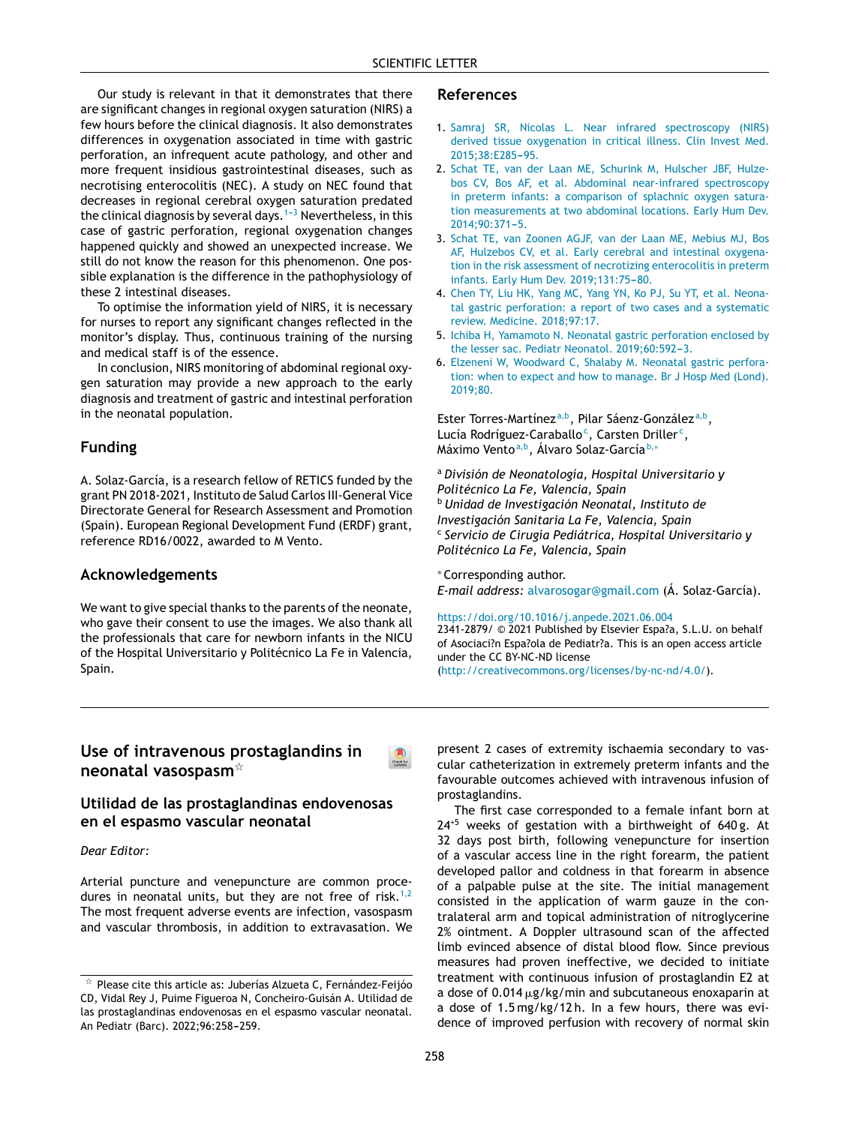Our study is relevant in that it demonstrates that t[here](http://crossmark.crossref.org/dialog/?doi=10.1016/j.anpede.2021.03.007&domain=pdf) are significant changes in regional oxygen saturation (NIRS) a few hours before the clinical diagnosis. It also demonstrates differences in oxygenation associated in time with gastric perforation, an infrequent acute pathology, and other and more frequent insidious gastrointestinal diseases, such as necrotising enterocolitis (NEC). A study on NEC [found](http://www.analesdepediatria.org) that decreases in regional cerebral oxygen saturation predated the clinical diagnosis by several days.<sup>1-3</sup> Nevertheless, in this case of gastric perforation, regional oxygenation changes happened quickly and showed an unexpected increase. We still do not know the reason for this phenomenon. One possible explanation is the difference in the pathophysiology [of](http://crossmark.crossref.org/dialog/?doi=10.1016/j.anpede.2021.03.007&domain=pdf) these 2 intestinal diseases.

To optimise the information yield of NIRS, it is necessary for nurses to report any significant changes reflected in the monitor's display. Thus, continuous training of the nursing and medical staff is of the essence.

In conclusion, NIRS monitoring of abdominal regional oxygen saturation may provide a new approach to the early diagnosis and treatment of gastric and intestinal perforation in the neonatal population.

## **Funding**

A. Solaz-García, is a research fellow of RETICS funded by the grant PN 2018-2021, Instituto de Salud Carlos III-General Vice Directorate General for Research Assessment and Promotion (Spain). European Regional Development Fund (ERDF) grant, reference RD16/0022, awarded to M Vento.

### **Acknowledgements**

We want to give special thanks to the parents of the neonate, who gave their consent to use the images. We also thank all the professionals that care for newborn infants in the NICU of the Hospital Universitario y Politécnico La Fe in Valencia, Spain.

### **References**

- 1. [Samraj](http://refhub.elsevier.com/S2341-2879(22)00031-X/sbref0005) [SR,](http://refhub.elsevier.com/S2341-2879(22)00031-X/sbref0005) [Nicolas](http://refhub.elsevier.com/S2341-2879(22)00031-X/sbref0005) [L.](http://refhub.elsevier.com/S2341-2879(22)00031-X/sbref0005) [Near](http://refhub.elsevier.com/S2341-2879(22)00031-X/sbref0005) [infrared](http://refhub.elsevier.com/S2341-2879(22)00031-X/sbref0005) [spectroscopy](http://refhub.elsevier.com/S2341-2879(22)00031-X/sbref0005) [\(NIRS\)](http://refhub.elsevier.com/S2341-2879(22)00031-X/sbref0005) [derived](http://refhub.elsevier.com/S2341-2879(22)00031-X/sbref0005) [tissue](http://refhub.elsevier.com/S2341-2879(22)00031-X/sbref0005) [oxygenation](http://refhub.elsevier.com/S2341-2879(22)00031-X/sbref0005) [in](http://refhub.elsevier.com/S2341-2879(22)00031-X/sbref0005) [critical](http://refhub.elsevier.com/S2341-2879(22)00031-X/sbref0005) [illness.](http://refhub.elsevier.com/S2341-2879(22)00031-X/sbref0005) [Clin](http://refhub.elsevier.com/S2341-2879(22)00031-X/sbref0005) [Invest](http://refhub.elsevier.com/S2341-2879(22)00031-X/sbref0005) [Med.](http://refhub.elsevier.com/S2341-2879(22)00031-X/sbref0005) 2015:38:E285-95.
- 2. [Schat](http://refhub.elsevier.com/S2341-2879(22)00031-X/sbref0010) [TE,](http://refhub.elsevier.com/S2341-2879(22)00031-X/sbref0010) [van](http://refhub.elsevier.com/S2341-2879(22)00031-X/sbref0010) [der](http://refhub.elsevier.com/S2341-2879(22)00031-X/sbref0010) [Laan](http://refhub.elsevier.com/S2341-2879(22)00031-X/sbref0010) [ME,](http://refhub.elsevier.com/S2341-2879(22)00031-X/sbref0010) [Schurink](http://refhub.elsevier.com/S2341-2879(22)00031-X/sbref0010) [M,](http://refhub.elsevier.com/S2341-2879(22)00031-X/sbref0010) [Hulscher](http://refhub.elsevier.com/S2341-2879(22)00031-X/sbref0010) [JBF,](http://refhub.elsevier.com/S2341-2879(22)00031-X/sbref0010) [Hulze](http://refhub.elsevier.com/S2341-2879(22)00031-X/sbref0010)[bos](http://refhub.elsevier.com/S2341-2879(22)00031-X/sbref0010) [CV,](http://refhub.elsevier.com/S2341-2879(22)00031-X/sbref0010) [Bos](http://refhub.elsevier.com/S2341-2879(22)00031-X/sbref0010) [AF,](http://refhub.elsevier.com/S2341-2879(22)00031-X/sbref0010) [et](http://refhub.elsevier.com/S2341-2879(22)00031-X/sbref0010) [al.](http://refhub.elsevier.com/S2341-2879(22)00031-X/sbref0010) [Abdominal](http://refhub.elsevier.com/S2341-2879(22)00031-X/sbref0010) [near-infrared](http://refhub.elsevier.com/S2341-2879(22)00031-X/sbref0010) [spectroscopy](http://refhub.elsevier.com/S2341-2879(22)00031-X/sbref0010) [in](http://refhub.elsevier.com/S2341-2879(22)00031-X/sbref0010) [preterm](http://refhub.elsevier.com/S2341-2879(22)00031-X/sbref0010) [infants:](http://refhub.elsevier.com/S2341-2879(22)00031-X/sbref0010) [a](http://refhub.elsevier.com/S2341-2879(22)00031-X/sbref0010) [comparison](http://refhub.elsevier.com/S2341-2879(22)00031-X/sbref0010) [of](http://refhub.elsevier.com/S2341-2879(22)00031-X/sbref0010) [splachnic](http://refhub.elsevier.com/S2341-2879(22)00031-X/sbref0010) [oxygen](http://refhub.elsevier.com/S2341-2879(22)00031-X/sbref0010) [satura](http://refhub.elsevier.com/S2341-2879(22)00031-X/sbref0010)[tion](http://refhub.elsevier.com/S2341-2879(22)00031-X/sbref0010) [measurements](http://refhub.elsevier.com/S2341-2879(22)00031-X/sbref0010) [at](http://refhub.elsevier.com/S2341-2879(22)00031-X/sbref0010) [two](http://refhub.elsevier.com/S2341-2879(22)00031-X/sbref0010) [abdominal](http://refhub.elsevier.com/S2341-2879(22)00031-X/sbref0010) [locations.](http://refhub.elsevier.com/S2341-2879(22)00031-X/sbref0010) [Early](http://refhub.elsevier.com/S2341-2879(22)00031-X/sbref0010) [Hum](http://refhub.elsevier.com/S2341-2879(22)00031-X/sbref0010) [Dev.](http://refhub.elsevier.com/S2341-2879(22)00031-X/sbref0010) [2014;90:371](http://refhub.elsevier.com/S2341-2879(22)00031-X/sbref0010)-[5.](http://refhub.elsevier.com/S2341-2879(22)00031-X/sbref0010)
- 3. [Schat](http://refhub.elsevier.com/S2341-2879(22)00031-X/sbref0015) [TE,](http://refhub.elsevier.com/S2341-2879(22)00031-X/sbref0015) [van](http://refhub.elsevier.com/S2341-2879(22)00031-X/sbref0015) [Zoonen](http://refhub.elsevier.com/S2341-2879(22)00031-X/sbref0015) [AGJF,](http://refhub.elsevier.com/S2341-2879(22)00031-X/sbref0015) [van](http://refhub.elsevier.com/S2341-2879(22)00031-X/sbref0015) [der](http://refhub.elsevier.com/S2341-2879(22)00031-X/sbref0015) [Laan](http://refhub.elsevier.com/S2341-2879(22)00031-X/sbref0015) [ME,](http://refhub.elsevier.com/S2341-2879(22)00031-X/sbref0015) [Mebius](http://refhub.elsevier.com/S2341-2879(22)00031-X/sbref0015) [MJ,](http://refhub.elsevier.com/S2341-2879(22)00031-X/sbref0015) [Bos](http://refhub.elsevier.com/S2341-2879(22)00031-X/sbref0015) [AF,](http://refhub.elsevier.com/S2341-2879(22)00031-X/sbref0015) [Hulzebos](http://refhub.elsevier.com/S2341-2879(22)00031-X/sbref0015) [CV,](http://refhub.elsevier.com/S2341-2879(22)00031-X/sbref0015) [et](http://refhub.elsevier.com/S2341-2879(22)00031-X/sbref0015) [al.](http://refhub.elsevier.com/S2341-2879(22)00031-X/sbref0015) [Early](http://refhub.elsevier.com/S2341-2879(22)00031-X/sbref0015) [cerebral](http://refhub.elsevier.com/S2341-2879(22)00031-X/sbref0015) [and](http://refhub.elsevier.com/S2341-2879(22)00031-X/sbref0015) [intestinal](http://refhub.elsevier.com/S2341-2879(22)00031-X/sbref0015) [oxygena](http://refhub.elsevier.com/S2341-2879(22)00031-X/sbref0015)[tion](http://refhub.elsevier.com/S2341-2879(22)00031-X/sbref0015) [in](http://refhub.elsevier.com/S2341-2879(22)00031-X/sbref0015) [the](http://refhub.elsevier.com/S2341-2879(22)00031-X/sbref0015) [risk](http://refhub.elsevier.com/S2341-2879(22)00031-X/sbref0015) [assessment](http://refhub.elsevier.com/S2341-2879(22)00031-X/sbref0015) [of](http://refhub.elsevier.com/S2341-2879(22)00031-X/sbref0015) [necrotizing](http://refhub.elsevier.com/S2341-2879(22)00031-X/sbref0015) [enterocolitis](http://refhub.elsevier.com/S2341-2879(22)00031-X/sbref0015) [in](http://refhub.elsevier.com/S2341-2879(22)00031-X/sbref0015) [preterm](http://refhub.elsevier.com/S2341-2879(22)00031-X/sbref0015) [infants.](http://refhub.elsevier.com/S2341-2879(22)00031-X/sbref0015) [Early](http://refhub.elsevier.com/S2341-2879(22)00031-X/sbref0015) [Hum](http://refhub.elsevier.com/S2341-2879(22)00031-X/sbref0015) [Dev.](http://refhub.elsevier.com/S2341-2879(22)00031-X/sbref0015) 2019:131:75-[80.](http://refhub.elsevier.com/S2341-2879(22)00031-X/sbref0015)
- 4. [Chen](http://refhub.elsevier.com/S2341-2879(22)00031-X/sbref0020) [TY,](http://refhub.elsevier.com/S2341-2879(22)00031-X/sbref0020) [Liu](http://refhub.elsevier.com/S2341-2879(22)00031-X/sbref0020) [HK,](http://refhub.elsevier.com/S2341-2879(22)00031-X/sbref0020) [Yang](http://refhub.elsevier.com/S2341-2879(22)00031-X/sbref0020) [MC,](http://refhub.elsevier.com/S2341-2879(22)00031-X/sbref0020) [Yang](http://refhub.elsevier.com/S2341-2879(22)00031-X/sbref0020) [YN,](http://refhub.elsevier.com/S2341-2879(22)00031-X/sbref0020) [Ko](http://refhub.elsevier.com/S2341-2879(22)00031-X/sbref0020) [PJ,](http://refhub.elsevier.com/S2341-2879(22)00031-X/sbref0020) [Su](http://refhub.elsevier.com/S2341-2879(22)00031-X/sbref0020) [YT,](http://refhub.elsevier.com/S2341-2879(22)00031-X/sbref0020) [et](http://refhub.elsevier.com/S2341-2879(22)00031-X/sbref0020) [al.](http://refhub.elsevier.com/S2341-2879(22)00031-X/sbref0020) [Neona](http://refhub.elsevier.com/S2341-2879(22)00031-X/sbref0020)[tal](http://refhub.elsevier.com/S2341-2879(22)00031-X/sbref0020) [gastric](http://refhub.elsevier.com/S2341-2879(22)00031-X/sbref0020) [perforation:](http://refhub.elsevier.com/S2341-2879(22)00031-X/sbref0020) [a](http://refhub.elsevier.com/S2341-2879(22)00031-X/sbref0020) [report](http://refhub.elsevier.com/S2341-2879(22)00031-X/sbref0020) [of](http://refhub.elsevier.com/S2341-2879(22)00031-X/sbref0020) [two](http://refhub.elsevier.com/S2341-2879(22)00031-X/sbref0020) [cases](http://refhub.elsevier.com/S2341-2879(22)00031-X/sbref0020) [and](http://refhub.elsevier.com/S2341-2879(22)00031-X/sbref0020) [a](http://refhub.elsevier.com/S2341-2879(22)00031-X/sbref0020) [systematic](http://refhub.elsevier.com/S2341-2879(22)00031-X/sbref0020) [review.](http://refhub.elsevier.com/S2341-2879(22)00031-X/sbref0020) [Medicine.](http://refhub.elsevier.com/S2341-2879(22)00031-X/sbref0020) [2018;97:17.](http://refhub.elsevier.com/S2341-2879(22)00031-X/sbref0020)
- 5. [Ichiba](http://refhub.elsevier.com/S2341-2879(22)00031-X/sbref0025) [H,](http://refhub.elsevier.com/S2341-2879(22)00031-X/sbref0025) [Yamamoto](http://refhub.elsevier.com/S2341-2879(22)00031-X/sbref0025) [N.](http://refhub.elsevier.com/S2341-2879(22)00031-X/sbref0025) [Neonatal](http://refhub.elsevier.com/S2341-2879(22)00031-X/sbref0025) [gastric](http://refhub.elsevier.com/S2341-2879(22)00031-X/sbref0025) [perforation](http://refhub.elsevier.com/S2341-2879(22)00031-X/sbref0025) [enclosed](http://refhub.elsevier.com/S2341-2879(22)00031-X/sbref0025) [by](http://refhub.elsevier.com/S2341-2879(22)00031-X/sbref0025) [the](http://refhub.elsevier.com/S2341-2879(22)00031-X/sbref0025) [lesser](http://refhub.elsevier.com/S2341-2879(22)00031-X/sbref0025) [sac.](http://refhub.elsevier.com/S2341-2879(22)00031-X/sbref0025) [Pediatr](http://refhub.elsevier.com/S2341-2879(22)00031-X/sbref0025) [Neonatol.](http://refhub.elsevier.com/S2341-2879(22)00031-X/sbref0025) 2019;60:592-3.
- 6. [Elzeneni](http://refhub.elsevier.com/S2341-2879(22)00031-X/sbref0030) [W,](http://refhub.elsevier.com/S2341-2879(22)00031-X/sbref0030) [Woodward](http://refhub.elsevier.com/S2341-2879(22)00031-X/sbref0030) [C,](http://refhub.elsevier.com/S2341-2879(22)00031-X/sbref0030) [Shalaby](http://refhub.elsevier.com/S2341-2879(22)00031-X/sbref0030) [M.](http://refhub.elsevier.com/S2341-2879(22)00031-X/sbref0030) [Neonatal](http://refhub.elsevier.com/S2341-2879(22)00031-X/sbref0030) [gastric](http://refhub.elsevier.com/S2341-2879(22)00031-X/sbref0030) [perfora](http://refhub.elsevier.com/S2341-2879(22)00031-X/sbref0030)[tion:](http://refhub.elsevier.com/S2341-2879(22)00031-X/sbref0030) [when](http://refhub.elsevier.com/S2341-2879(22)00031-X/sbref0030) [to](http://refhub.elsevier.com/S2341-2879(22)00031-X/sbref0030) [expect](http://refhub.elsevier.com/S2341-2879(22)00031-X/sbref0030) [and](http://refhub.elsevier.com/S2341-2879(22)00031-X/sbref0030) [how](http://refhub.elsevier.com/S2341-2879(22)00031-X/sbref0030) [to](http://refhub.elsevier.com/S2341-2879(22)00031-X/sbref0030) [manage.](http://refhub.elsevier.com/S2341-2879(22)00031-X/sbref0030) [Br](http://refhub.elsevier.com/S2341-2879(22)00031-X/sbref0030) [J](http://refhub.elsevier.com/S2341-2879(22)00031-X/sbref0030) [Hosp](http://refhub.elsevier.com/S2341-2879(22)00031-X/sbref0030) [Med](http://refhub.elsevier.com/S2341-2879(22)00031-X/sbref0030) [\(Lond\).](http://refhub.elsevier.com/S2341-2879(22)00031-X/sbref0030) [2019;80.](http://refhub.elsevier.com/S2341-2879(22)00031-X/sbref0030)

Es[ter](http://refhub.elsevier.com/S2341-2879(22)00031-X/sbref0005) [Torres-Martínez](http://refhub.elsevier.com/S2341-2879(22)00031-X/sbref0005)<sup>a, b</sup>, [Pilar](http://refhub.elsevier.com/S2341-2879(22)00031-X/sbref0005) [Sáenz-González](http://refhub.elsevier.com/S2341-2879(22)00031-X/sbref0005)<sup>a, b</sup>, Lu[cía](http://refhub.elsevier.com/S2341-2879(22)00031-X/sbref0005) [Rodríguez-Caraballo](http://refhub.elsevier.com/S2341-2879(22)00031-X/sbref0005)<sup>c</sup>, Ca[rste](http://refhub.elsevier.com/S2341-2879(22)00031-X/sbref0005)n [Driller](http://refhub.elsevier.com/S2341-2879(22)00031-X/sbref0005)<sup>c</sup>[,](http://refhub.elsevier.com/S2341-2879(22)00031-X/sbref0005) M[áximo](http://refhub.elsevier.com/S2341-2879(22)00031-X/sbref0005) [Vento](http://refhub.elsevier.com/S2341-2879(22)00031-X/sbref0010)<sup>a[,](http://refhub.elsevier.com/S2341-2879(22)00031-X/sbref0010)b</sup>, Á[lvaro](http://refhub.elsevier.com/S2341-2879(22)00031-X/sbref0010) [Solaz-García](http://refhub.elsevier.com/S2341-2879(22)00031-X/sbref0010)<sup>b,</sup>\*

<sup>a</sup> *[División](http://refhub.elsevier.com/S2341-2879(22)00031-X/sbref0010) [de](http://refhub.elsevier.com/S2341-2879(22)00031-X/sbref0010) [Neonatología,](http://refhub.elsevier.com/S2341-2879(22)00031-X/sbref0010) Hosp[it](http://refhub.elsevier.com/S2341-2879(22)00031-X/sbref0010)al [Universitario](http://refhub.elsevier.com/S2341-2879(22)00031-X/sbref0010) [y](http://refhub.elsevier.com/S2341-2879(22)00031-X/sbref0010) Po[litécnico](http://refhub.elsevier.com/S2341-2879(22)00031-X/sbref0010) La F[e,](http://refhub.elsevier.com/S2341-2879(22)00031-X/sbref0010) [V](http://refhub.elsevier.com/S2341-2879(22)00031-X/sbref0010)alencia, Spain* <sup>b</sup> *[Unidad](http://refhub.elsevier.com/S2341-2879(22)00031-X/sbref0015) [d](http://refhub.elsevier.com/S2341-2879(22)00031-X/sbref0015)e [Investigació](http://refhub.elsevier.com/S2341-2879(22)00031-X/sbref0015)n [Neonata](http://refhub.elsevier.com/S2341-2879(22)00031-X/sbref0015)l, [Instituto](http://refhub.elsevier.com/S2341-2879(22)00031-X/sbref0015) [de](http://refhub.elsevier.com/S2341-2879(22)00031-X/sbref0015) In[vestigación](http://refhub.elsevier.com/S2341-2879(22)00031-X/sbref0015) [Sanitaria](http://refhub.elsevier.com/S2341-2879(22)00031-X/sbref0015) L[a](http://refhub.elsevier.com/S2341-2879(22)00031-X/sbref0015) [Fe](http://refhub.elsevier.com/S2341-2879(22)00031-X/sbref0015), [Valencia](http://refhub.elsevier.com/S2341-2879(22)00031-X/sbref0015), [Spain](http://refhub.elsevier.com/S2341-2879(22)00031-X/sbref0015)* c *S[ervicio](http://refhub.elsevier.com/S2341-2879(22)00031-X/sbref0020) d[e](http://refhub.elsevier.com/S2341-2879(22)00031-X/sbref0020) [C](http://refhub.elsevier.com/S2341-2879(22)00031-X/sbref0015)[irugía](http://refhub.elsevier.com/S2341-2879(22)00031-X/sbref0020) [Pediá](http://refhub.elsevier.com/S2341-2879(22)00031-X/sbref0020)t[ri](http://refhub.elsevier.com/S2341-2879(22)00031-X/sbref0020)ca, [Hospita](http://refhub.elsevier.com/S2341-2879(22)00031-X/sbref0015)[l](http://refhub.elsevier.com/S2341-2879(22)00031-X/sbref0020) [Universitario](http://refhub.elsevier.com/S2341-2879(22)00031-X/sbref0020) y Po[litécnico](http://refhub.elsevier.com/S2341-2879(22)00031-X/sbref0020) La Fe, [Valencia,](http://refhub.elsevier.com/S2341-2879(22)00031-X/sbref0020) [Spain](http://refhub.elsevier.com/S2341-2879(22)00031-X/sbref0020)*

<sup>∗</sup> C[orresponding](http://refhub.elsevier.com/S2341-2879(22)00031-X/sbref0020) [author.](http://refhub.elsevier.com/S2341-2879(22)00031-X/sbref0020)

*E-[mail](http://refhub.elsevier.com/S2341-2879(22)00031-X/sbref0025) [address:](http://refhub.elsevier.com/S2341-2879(22)00031-X/sbref0025)* [alvarosogar@gmail.com](mailto:alvarosogar@gmail.com) [\(Á.](http://refhub.elsevier.com/S2341-2879(22)00031-X/sbref0025) [Solaz-García\).](http://refhub.elsevier.com/S2341-2879(22)00031-X/sbref0025)

<https://doi.org/10.1016/j.anpede.2021.06.004>

23[41-287](http://refhub.elsevier.com/S2341-2879(22)00031-X/sbref0030)9/ © 2021 [Published](http://refhub.elsevier.com/S2341-2879(22)00031-X/sbref0030) by [Elsevier](http://refhub.elsevier.com/S2341-2879(22)00031-X/sbref0030) Es[p](http://refhub.elsevier.com/S2341-2879(22)00031-X/sbref0030)a?a, [S.L.U.](http://refhub.elsevier.com/S2341-2879(22)00031-X/sbref0030) on [behalf](http://refhub.elsevier.com/S2341-2879(22)00031-X/sbref0030) of [Asoc](http://refhub.elsevier.com/S2341-2879(22)00031-X/sbref0030)iaci?n [Espa?ol](http://refhub.elsevier.com/S2341-2879(22)00031-X/sbref0030)a [de](http://refhub.elsevier.com/S2341-2879(22)00031-X/sbref0030) [Pediatr?a.](http://refhub.elsevier.com/S2341-2879(22)00031-X/sbref0030) This is an [open](http://refhub.elsevier.com/S2341-2879(22)00031-X/sbref0030) [acce](http://refhub.elsevier.com/S2341-2879(22)00031-X/sbref0030)ss article under the CC BY-NC-ND license

(<http://creativecommons.org/licenses/by-nc-nd/4.0/>).

# **Use of intravenous prostaglandins in neonatal vasospasm**-

## **Utilidad de las prostaglandinas endovenosas en el espasmo vascular neonatal**

#### *Dear Editor:*

Arterial puncture and venepuncture are common proce-dures in neonatal units, but they are not free of risk.<sup>[1,2](#page-1-0)</sup> The most frequent adverse events are infection, vasospasm and vascular thrombosis, in addition to extravasation. We

present 2 cases of extremity ischaemia secondary to vascular catheterization in extremely preterm infants and the favourable outcomes achieved with intravenous infusion of prostaglandins.

The first case corresponded to a female infant born at 24+5 weeks of gestation with a [birthweight](mailto:mj.sanchezsolser@gmail.com) of 640 g. At 32 days post birth, following venepuncture for insertion of a [vascular](https://doi.org/10.1016/j.anpede.2021.03.005) access line in the right forearm, the patient developed pallor and coldness in that forearm in absence of a palpable pulse at the site. The initial management consisted in the application [of](http://creativecommons.org/licenses/by-nc-nd/4.0/) warm [gauze](http://creativecommons.org/licenses/by-nc-nd/4.0/) in t[he](http://creativecommons.org/licenses/by-nc-nd/4.0/) con[tralateral](http://creativecommons.org/licenses/by-nc-nd/4.0/) [arm](http://creativecommons.org/licenses/by-nc-nd/4.0/) [and](http://creativecommons.org/licenses/by-nc-nd/4.0/) [to](http://creativecommons.org/licenses/by-nc-nd/4.0/)pical administration of nitroglycerine 2% ointment. A Doppler ultrasound scan of the affected limb evinced absence of distal blood flow. Since previous measures had proven ineffective, we decided to initiate treatment with continuous infusion of prostaglandin E2 at a dose of 0.014  $\mu$ g/kg/min and subcutaneous enoxaparin at a dose of 1.5 mg/kg/12 h. In a few hours, there was evidence of improved perfusion with recovery of normal skin

 $\mathrm{\star}\,$  Please cite this article as: Juberías Alzueta C, Fernández-Feijóo CD, Vidal Rey J, Puime Figueroa N, Concheiro-Guisán A. Utilidad de las prostaglandinas endovenosas en el espasmo vascular neonatal. An Pediatr (Barc). 2022;96:258-259.